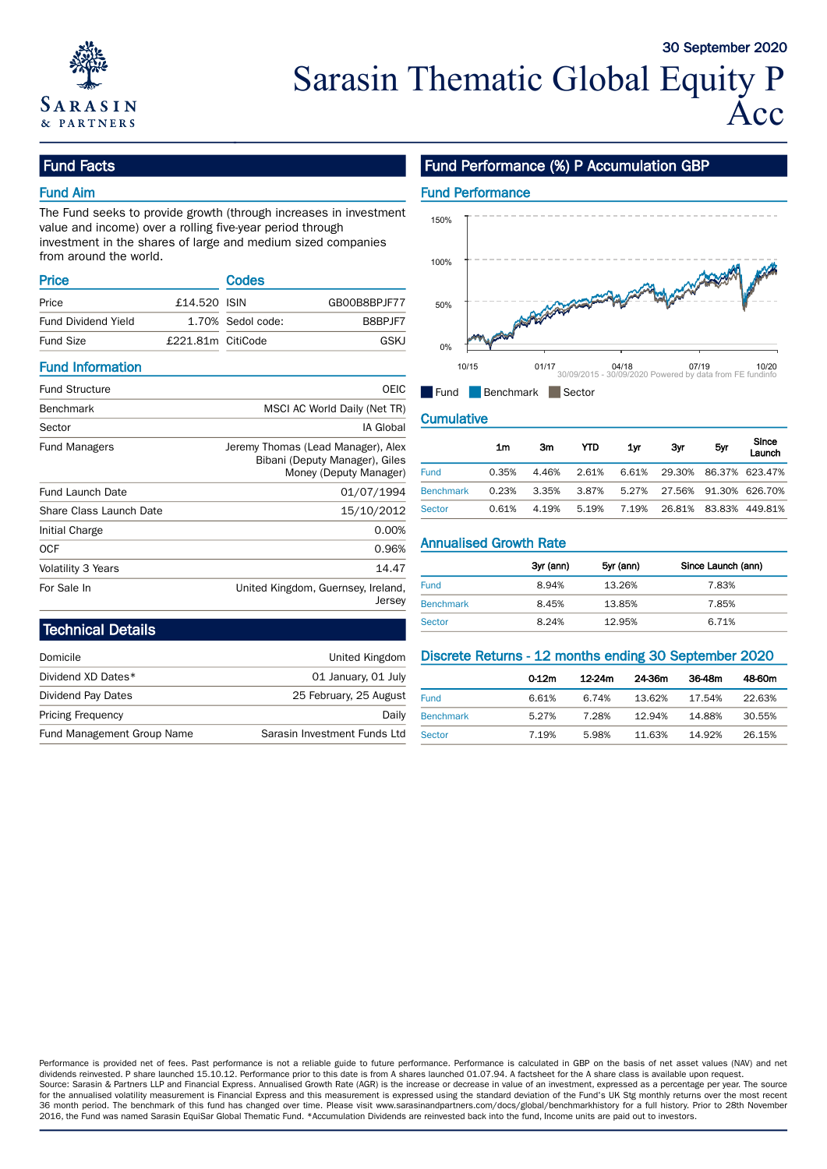

# Fund Facts

## Fund Aim

The Fund seeks to provide growth (through increases in investment value and income) over a rolling five-year period through investment in the shares of large and medium sized companies from around the world.

| <b>Price</b>               |                   | Codes             |              |     |                                                                                                                                                                                                                                      |
|----------------------------|-------------------|-------------------|--------------|-----|--------------------------------------------------------------------------------------------------------------------------------------------------------------------------------------------------------------------------------------|
| Price                      | £14,520 ISIN      |                   | GB00B8BPJF77 | 50% |                                                                                                                                                                                                                                      |
| <b>Fund Dividend Yield</b> |                   | 1.70% Sedol code: | B8BPJF7      |     | <b>Contract Contract Contract Contract Contract Contract Contract Contract Contract Contract Contract Contract Contract Contract Contract Contract Contract Contract Contract Contract Contract Contract Contract Contract Contr</b> |
| <b>Fund Size</b>           | £221.81m CitiCode |                   | GSKJ         | 0%  | <b>AND REAL</b>                                                                                                                                                                                                                      |

### Fund Information

| <b>Fund Structure</b>   | OEIC                                                                 | $\blacksquare$ Fund           | Benchmark      |             | Sector |           |           |                |
|-------------------------|----------------------------------------------------------------------|-------------------------------|----------------|-------------|--------|-----------|-----------|----------------|
| <b>Benchmark</b>        | MSCI AC World Daily (Net TR)                                         |                               |                |             |        |           |           |                |
| Sector                  | IA Global                                                            | <b>Cumulative</b>             |                |             |        |           |           |                |
| <b>Fund Managers</b>    | Jeremy Thomas (Lead Manager), Alex<br>Bibani (Deputy Manager), Giles |                               | 1 <sub>m</sub> | Зm          | YTD    | 1yr       | Зуг       |                |
|                         | Money (Deputy Manager)                                               | <b>Fund</b>                   | 0.35%          | 4.46%       | 2.61%  | 6.61%     | 29.30%    | 86             |
| <b>Fund Launch Date</b> | 01/07/1994                                                           | <b>Benchmark</b>              | 0.23%          | 3.35%       | 3.87%  | 5.27%     | 27.56%    | -91            |
| Share Class Launch Date | 15/10/2012                                                           | Sector                        | 0.61%          | 4.19%       | 5.19%  | 7.19%     | 26.81% 83 |                |
| Initial Charge          | 0.00%                                                                |                               |                |             |        |           |           |                |
| <b>OCF</b>              | 0.96%                                                                | <b>Annualised Growth Rate</b> |                |             |        |           |           |                |
| Volatility 3 Years      | 14.47                                                                |                               |                | 3yr (ann)   |        | 5yr (ann) | Since La  |                |
| For Sale In             | United Kingdom, Guernsey, Ireland,                                   | Fund                          |                | 8.94%       |        | 13.26%    |           | 7.             |
|                         | Jersev                                                               | <b>Renchmark</b>              |                | $Q$ $A E Q$ |        | 1285%     |           | $\overline{7}$ |

# Fund Performance (%) P Accumulation GBP



### **Cumulative**

| / Thomas (Lead Manager), Alex<br>Bibani (Deputy Manager), Giles |                  | 1m    | 3m    | YTD   | 1vr   | Зyг    | 5yr | Since<br>Launch |
|-----------------------------------------------------------------|------------------|-------|-------|-------|-------|--------|-----|-----------------|
| Money (Deputy Manager)                                          | Fund             | 0.35% | 4.46% | 2.61% | 6.61% | 29.30% |     | 86.37% 623.47%  |
| 01/07/1994                                                      | <b>Benchmark</b> | 0.23% | 3.35% | 3.87% | 5.27% | 27.56% |     | 91.30% 626.70%  |
| 15/10/2012                                                      | Sector           | 0.61% | 4.19% | 5.19% | 7.19% | 26.81% |     | 83.83% 449.81%  |

## Annualised Growth Rate

|                  | 3yr (ann) | 5yr (ann) | Since Launch (ann) |
|------------------|-----------|-----------|--------------------|
| <b>Fund</b>      | 8.94%     | 13.26%    | 7.83%              |
| <b>Benchmark</b> | 8.45%     | 13.85%    | 7.85%              |
| Sector           | 8.24%     | 12.95%    | 6.71%              |

# Technical Details

| Domicile                   | United Kingdom               | Discrete Returns - 12 months ending 30 September 2020 |       |        |        |        |        |
|----------------------------|------------------------------|-------------------------------------------------------|-------|--------|--------|--------|--------|
| Dividend XD Dates*         | 01 January, 01 July          |                                                       | 0 12m | 12-24m | 24.36m | 36-48m | 48-60m |
| Dividend Pay Dates         | 25 February, 25 August       | Fund                                                  | 6.61% | 6.74%  | 13.62% | 17.54% | 22.63% |
| <b>Pricing Frequency</b>   | Daily                        | <b>Benchmark</b>                                      | 5.27% | 28%    | 12.94% | 14.88% | 30.55% |
| Fund Management Group Name | Sarasin Investment Funds Ltd | Sector                                                | .19%  | 5.98%  | 1.63%  | 14.92% | 26.15% |

|                  | $0-12m$ | 12-24m | 24-36m | 36-48m | 48-60m |
|------------------|---------|--------|--------|--------|--------|
| <b>Fund</b>      | 6.61%   | 6.74%  | 13.62% | 17.54% | 22.63% |
| <b>Benchmark</b> | 5.27%   | 7.28%  | 12.94% | 14.88% | 30.55% |
| Sector           | 7.19%   | 5.98%  | 11.63% | 14.92% | 26.15% |

Performance is provided net of fees. Past performance is not a reliable guide to future performance. Performance is calculated in GBP on the basis of net asset values (NAV) and net dividends reinvested. P share launched 15.10.12. Performance prior to this date is from A shares launched 01.07.94. A factsheet for the A share class is available upon request. Source: Sarasin & Partners LLP and Financial Express. Annualised Growth Rate (AGR) is the increase or decrease in value of an investment, expressed as a percentage per year. The source for the annualised volatility measurement is Financial Express and this measurement is expressed using the standard deviation of the Fund's UK Stg monthly returns over the most recent 36 month period. The benchmark of this fund has changed over time. Please visit www.sarasinandpartners.com/docs/global/benchmarkhistory for a full history. Prior to 28th November 2016, the Fund was named Sarasin EquiSar Global Thematic Fund. \*Accumulation Dividends are reinvested back into the fund, Income units are paid out to investors.